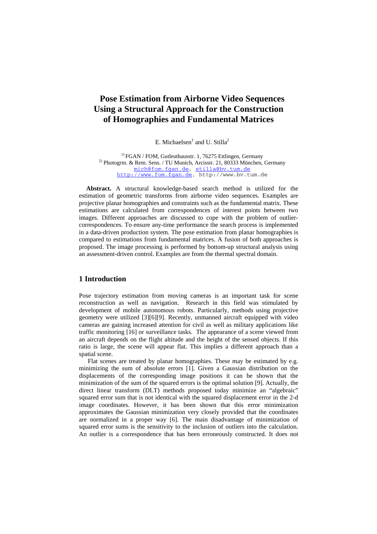# **Pose Estimation from Airborne Video Sequences Using a Structural Approach for the Construction of Homographies and Fundamental Matrices**

E. Michaelsen<sup>1</sup> and U. Stilla<sup>2</sup>

<sup>1)</sup> FGAN / FOM, Gutleuthausstr. 1, 76275 Ettlingen, Germany 2) Photogrm. & Rem. Sens. / TU Munich, Arcisstr. 21, 80333 München, Germany mich@fom.fgan.de, stilla@bv.tum.de http://www.fom.fgan.de, http://www.bv.tum.de

**Abstract.** A structural knowledge-based search method is utilized for the estimation of geometric transforms from airborne video sequences. Examples are projective planar homographies and constraints such as the fundamental matrix. These estimations are calculated from correspondences of interest points between two images. Different approaches are discussed to cope with the problem of outliercorrespondences. To ensure any-time performance the search process is implemented in a data-driven production system. The pose estimation from planar homographies is compared to estimations from fundamental matrices. A fusion of both approaches is proposed. The image processing is performed by bottom-up structural analysis using an assessment-driven control. Examples are from the thermal spectral domain.

## **1 Introduction**

Pose trajectory estimation from moving cameras is an important task for scene reconstruction as well as navigation. Research in this field was stimulated by development of mobile autonomous robots. Particularly, methods using projective geometry were utilized [3][6][9]. Recently, unmanned aircraft equipped with video cameras are gaining increased attention for civil as well as military applications like traffic monitoring [16] or surveillance tasks. The appearance of a scene viewed from an aircraft depends on the flight altitude and the height of the sensed objects. If this ratio is large, the scene will appear flat. This implies a different approach than a spatial scene.

 Flat scenes are treated by planar homographies. These may be estimated by e.g. minimizing the sum of absolute errors [1]. Given a Gaussian distribution on the displacements of the corresponding image positions it can be shown that the minimization of the sum of the squared errors is the optimal solution [9]. Actually, the direct linear transform (DLT) methods proposed today minimize an "algebraic" squared error sum that is not identical with the squared displacement error in the 2-d image coordinates. However, it has been shown that this error minimization approximates the Gaussian minimization very closely provided that the coordinates are normalized in a proper way [6]. The main disadvantage of minimization of squared error sums is the sensitivity to the inclusion of outliers into the calculation. An outlier is a correspondence that has been erroneously constructed. It does not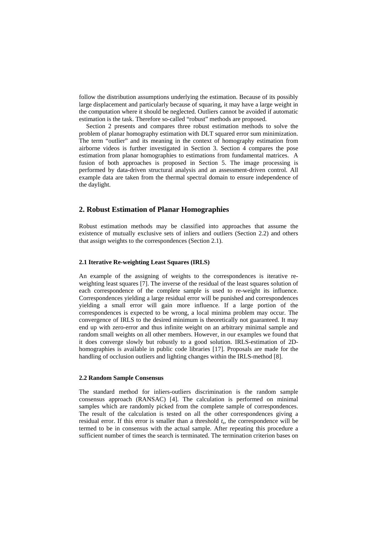follow the distribution assumptions underlying the estimation. Because of its possibly large displacement and particularly because of squaring, it may have a large weight in the computation where it should be neglected. Outliers cannot be avoided if automatic estimation is the task. Therefore so-called "robust" methods are proposed.

Section 2 presents and compares three robust estimation methods to solve the problem of planar homography estimation with DLT squared error sum minimization. The term "outlier" and its meaning in the context of homography estimation from airborne videos is further investigated in Section 3. Section 4 compares the pose estimation from planar homographies to estimations from fundamental matrices. A fusion of both approaches is proposed in Section 5. The image processing is performed by data-driven structural analysis and an assessment-driven control. All example data are taken from the thermal spectral domain to ensure independence of the daylight.

#### **2. Robust Estimation of Planar Homographies**

Robust estimation methods may be classified into approaches that assume the existence of mutually exclusive sets of inliers and outliers (Section 2.2) and others that assign weights to the correspondences (Section 2.1).

### **2.1 Iterative Re-weighting Least Squares (IRLS)**

An example of the assigning of weights to the correspondences is iterative reweighting least squares [7]. The inverse of the residual of the least squares solution of each correspondence of the complete sample is used to re-weight its influence. Correspondences yielding a large residual error will be punished and correspondences yielding a small error will gain more influence. If a large portion of the correspondences is expected to be wrong, a local minima problem may occur. The convergence of IRLS to the desired minimum is theoretically not guaranteed. It may end up with zero-error and thus infinite weight on an arbitrary minimal sample and random small weights on all other members. However, in our examples we found that it does converge slowly but robustly to a good solution. IRLS-estimation of 2Dhomographies is available in public code libraries [17]. Proposals are made for the handling of occlusion outliers and lighting changes within the IRLS-method [8].

#### **2.2 Random Sample Consensus**

The standard method for inliers-outliers discrimination is the random sample consensus approach (RANSAC) [4]. The calculation is performed on minimal samples which are randomly picked from the complete sample of correspondences. The result of the calculation is tested on all the other correspondences giving a residual error. If this error is smaller than a threshold  $t<sub>s</sub>$ , the correspondence will be termed to be in consensus with the actual sample. After repeating this procedure a sufficient number of times the search is terminated. The termination criterion bases on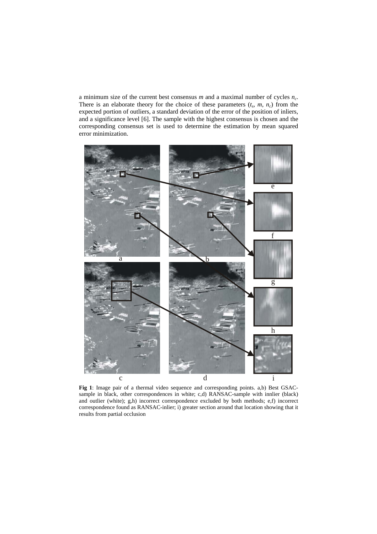a minimum size of the current best consensus *m* and a maximal number of cycles *nc*. There is an elaborate theory for the choice of these parameters  $(t_s, m, n_c)$  from the expected portion of outliers, a standard deviation of the error of the position of inliers, and a significance level [6]. The sample with the highest consensus is chosen and the corresponding consensus set is used to determine the estimation by mean squared error minimization.



**Fig 1**: Image pair of a thermal video sequence and corresponding points. a,b) Best GSACsample in black, other correspondences in white; c,d) RANSAC-sample with innlier (black) and outlier (white); g,h) incorrect correspondence excluded by both methods; e,f) incorrect correspondence found as RANSAC-inlier; i) greater section around that location showing that it results from partial occlusion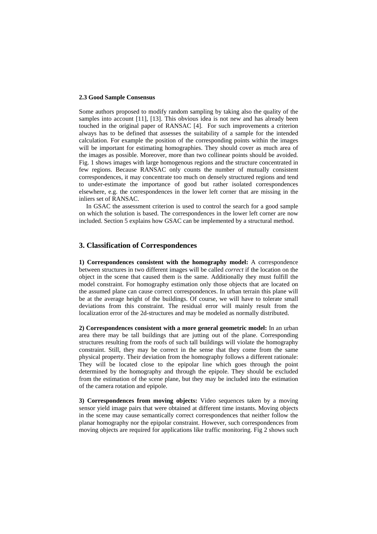#### **2.3 Good Sample Consensus**

Some authors proposed to modify random sampling by taking also the quality of the samples into account [11], [13]. This obvious idea is not new and has already been touched in the original paper of RANSAC [4]. For such improvements a criterion always has to be defined that assesses the suitability of a sample for the intended calculation. For example the position of the corresponding points within the images will be important for estimating homographies. They should cover as much area of the images as possible. Moreover, more than two collinear points should be avoided. Fig. 1 shows images with large homogenous regions and the structure concentrated in few regions. Because RANSAC only counts the number of mutually consistent correspondences, it may concentrate too much on densely structured regions and tend to under-estimate the importance of good but rather isolated correspondences elsewhere, e.g. the correspondences in the lower left corner that are missing in the inliers set of RANSAC.

In GSAC the assessment criterion is used to control the search for a good sample on which the solution is based. The correspondences in the lower left corner are now included. Section 5 explains how GSAC can be implemented by a structural method.

# **3. Classification of Correspondences**

**1) Correspondences consistent with the homography model:** A correspondence between structures in two different images will be called *correct* if the location on the object in the scene that caused them is the same. Additionally they must fulfill the model constraint. For homography estimation only those objects that are located on the assumed plane can cause correct correspondences. In urban terrain this plane will be at the average height of the buildings. Of course, we will have to tolerate small deviations from this constraint. The residual error will mainly result from the localization error of the 2d-structures and may be modeled as normally distributed.

**2) Correspondences consistent with a more general geometric model:** In an urban area there may be tall buildings that are jutting out of the plane. Corresponding structures resulting from the roofs of such tall buildings will violate the homography constraint. Still, they may be correct in the sense that they come from the same physical property. Their deviation from the homography follows a different rationale: They will be located close to the epipolar line which goes through the point determined by the homography and through the epipole. They should be excluded from the estimation of the scene plane, but they may be included into the estimation of the camera rotation and epipole.

**3) Correspondences from moving objects:** Video sequences taken by a moving sensor yield image pairs that were obtained at different time instants. Moving objects in the scene may cause semantically correct correspondences that neither follow the planar homography nor the epipolar constraint. However, such correspondences from moving objects are required for applications like traffic monitoring. Fig 2 shows such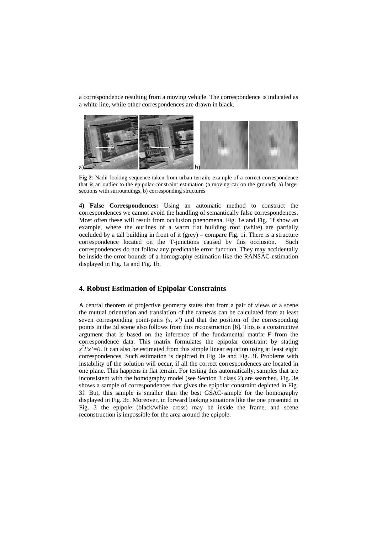a correspondence resulting from a moving vehicle. The correspondence is indicated as a white line, while other correspondences are drawn in black.



**Fig 2**: Nadir looking sequence taken from urban terrain; example of a correct correspondence that is an outlier to the epipolar constraint estimation (a moving car on the ground); a) larger sections with surroundings, b) corresponding structures

**4) False Correspondences:** Using an automatic method to construct the correspondences we cannot avoid the handling of semantically false correspondences. Most often these will result from occlusion phenomena. Fig. 1e and Fig. 1f show an example, where the outlines of a warm flat building roof (white) are partially occluded by a tall building in front of it (grey) – compare Fig. 1i. There is a structure correspondence located on the T-junctions caused by this occlusion. Such correspondences do not follow any predictable error function. They may accidentally be inside the error bounds of a homography estimation like the RANSAC-estimation displayed in Fig. 1a and Fig. 1b.

# **4. Robust Estimation of Epipolar Constraints**

A central theorem of projective geometry states that from a pair of views of a scene the mutual orientation and translation of the cameras can be calculated from at least seven corresponding point-pairs  $(x, x')$  and that the position of the corresponding points in the 3d scene also follows from this reconstruction [6]. This is a constructive argument that is based on the inference of the fundamental matrix *F* from the correspondence data. This matrix formulates the epipolar constraint by stating  $x<sup>T</sup>Fx' = 0$ . It can also be estimated from this simple linear equation using at least eight correspondences. Such estimation is depicted in Fig. 3e and Fig. 3f. Problems with instability of the solution will occur, if all the correct correspondences are located in one plane. This happens in flat terrain. For testing this automatically, samples that are inconsistent with the homography model (see Section 3 class 2) are searched. Fig. 3e shows a sample of correspondences that gives the epipolar constraint depicted in Fig. 3f. But, this sample is smaller than the best GSAC-sample for the homography displayed in Fig. 3c. Moreover, in forward looking situations like the one presented in Fig. 3 the epipole (black/white cross) may be inside the frame, and scene reconstruction is impossible for the area around the epipole.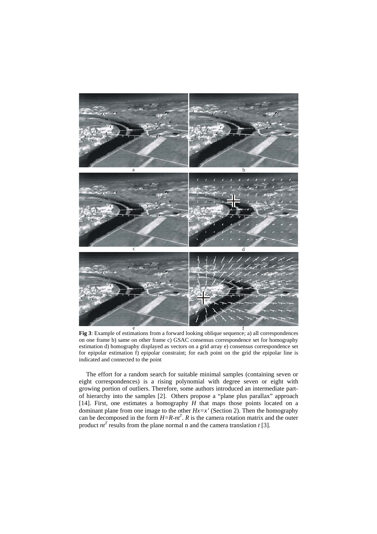

e f **Fig 3**: Example of estimations from a forward looking oblique sequence; a) all correspondences on one frame b) same on other frame c) GSAC consensus correspondence set for homography estimation d) homography displayed as vectors on a grid array e) consensus correspondence set for epipolar estimation f) epipolar constraint; for each point on the grid the epipolar line is indicated and connected to the point

The effort for a random search for suitable minimal samples (containing seven or eight correspondences) is a rising polynomial with degree seven or eight with growing portion of outliers. Therefore, some authors introduced an intermediate partof hierarchy into the samples [2]. Others propose a "plane plus parallax" approach [14]. First, one estimates a homography *H* that maps those points located on a dominant plane from one image to the other  $Hx=x'$  (Section 2). Then the homography can be decomposed in the form  $H=R-nt^T$ . *R* is the camera rotation matrix and the outer product  $nt<sup>T</sup>$  results from the plane normal n and the camera translation  $t$  [3].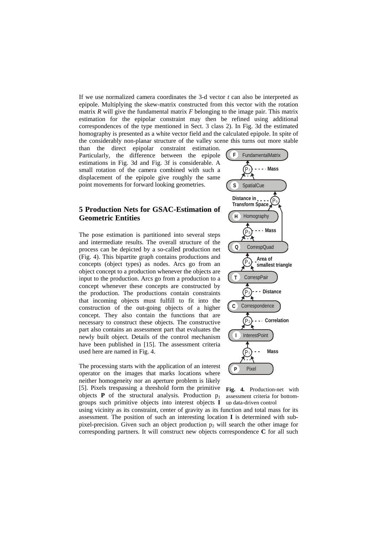If we use normalized camera coordinates the 3-d vector *t* can also be interpreted as epipole. Multiplying the skew-matrix constructed from this vector with the rotation matrix *R* will give the fundamental matrix *F* belonging to the image pair. This matrix estimation for the epipolar constraint may then be refined using additional correspondences of the type mentioned in Sect. 3 class 2). In Fig. 3d the estimated homography is presented as a white vector field and the calculated epipole. In spite of the considerably non-planar structure of the valley scene this turns out more stable

than the direct epipolar constraint estimation. Particularly, the difference between the epipole estimations in Fig. 3d and Fig. 3f is considerable. A small rotation of the camera combined with such a displacement of the epipole give roughly the same point movements for forward looking geometries.

# **5 Production Nets for GSAC-Estimation of Geometric Entities**

The pose estimation is partitioned into several steps and intermediate results. The overall structure of the process can be depicted by a so-called production net (Fig. 4). This bipartite graph contains productions and concepts (object types) as nodes. Arcs go from an object concept to a production whenever the objects are input to the production. Arcs go from a production to a concept whenever these concepts are constructed by the production. The productions contain constraints that incoming objects must fulfill to fit into the construction of the out-going objects of a higher concept. They also contain the functions that are necessary to construct these objects. The constructive part also contains an assessment part that evaluates the newly built object. Details of the control mechanism have been published in [15]. The assessment criteria used here are named in Fig. 4.

The processing starts with the application of an interest operator on the images that marks locations where neither homogeneity nor an aperture problem is likely [5]. Pixels trespassing a threshold form the primitive objects **P** of the structural analysis. Production  $p_1$ groups such primitive objects into interest objects **I** up data-driven control



**Fig. 4.** Production-net with assessment criteria for bottom-

using vicinity as its constraint, center of gravity as its function and total mass for its assessment. The position of such an interesting location **I** is determined with subpixel-precision. Given such an object production  $p_2$  will search the other image for corresponding partners. It will construct new objects correspondence **C** for all such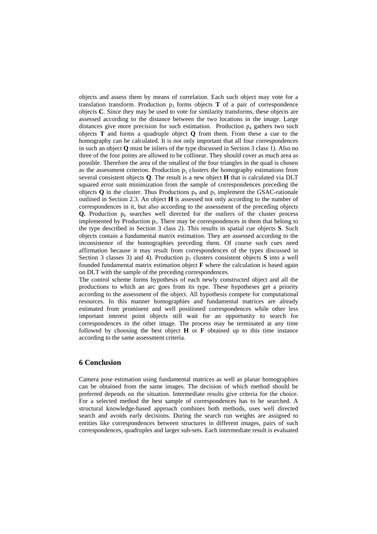objects and assess them by means of correlation. Each such object may vote for a translation transform. Production  $p_3$  forms objects **T** of a pair of correspondence objects **C**. Since they may be used to vote for similarity transforms, these objects are assessed according to the distance between the two locations in the image. Large distances give more precision for such estimation. Production  $p_4$  gathers two such objects **T** and forms a quadruple object **Q** from them. From these a cue to the homography can be calculated. It is not only important that all four correspondences in such an object **Q** must be inliers of the type discussed in Section 3 class 1). Also no three of the four points are allowed to be collinear. They should cover as much area as possible. Therefore the area of the smallest of the four triangles in the quad is chosen as the assessment criterion. Production  $p<sub>5</sub>$  clusters the homography estimations from several consistent objects **Q**. The result is a new object **H** that is calculated via DLT squared error sum minimization from the sample of correspondences preceding the objects **Q** in the cluster. Thus Productions  $p_4$  and  $p_5$  implement the GSAC-rationale outlined in Section 2.3. An object **H** is assessed not only according to the number of correspondences in it, but also according to the assessment of the preceding objects **Q.** Production  $p_6$  searches well directed for the outliers of the cluster process implemented by Production  $p_5$ . There may be correspondences in them that belong to the type described in Section 3 class 2). This results in spatial cue objects **S**. Such objects contain a fundamental matrix estimation. They are assessed according to the inconsistence of the homographies preceding them. Of course such cues need affirmation because it may result from correspondences of the types discussed in Section 3 classes 3) and 4). Production  $p_7$  clusters consistent objects **S** into a well founded fundamental matrix estimation object **F** where the calculation is based again on DLT with the sample of the preceding correspondences.

The control scheme forms hypothesis of each newly constructed object and all the productions to which an arc goes from its type. These hypotheses get a priority according to the assessment of the object. All hypothesis compete for computational resources. In this manner homographies and fundamental matrices are already estimated from prominent and well positioned correspondences while other less important interest point objects still wait for an opportunity to search for correspondences in the other image. The process may be terminated at any time followed by choosing the best object **H** or **F** obtained up to this time instance according to the same assessment criteria.

### **6 Conclusion**

Camera pose estimation using fundamental matrices as well as planar homographies can be obtained from the same images. The decision of which method should be preferred depends on the situation. Intermediate results give criteria for the choice. For a selected method the best sample of correspondences has to be searched. A structural knowledge-based approach combines both methods, uses well directed search and avoids early decisions. During the search run weights are assigned to entities like correspondences between structures in different images, pairs of such correspondences, quadruples and larger sub-sets. Each intermediate result is evaluated